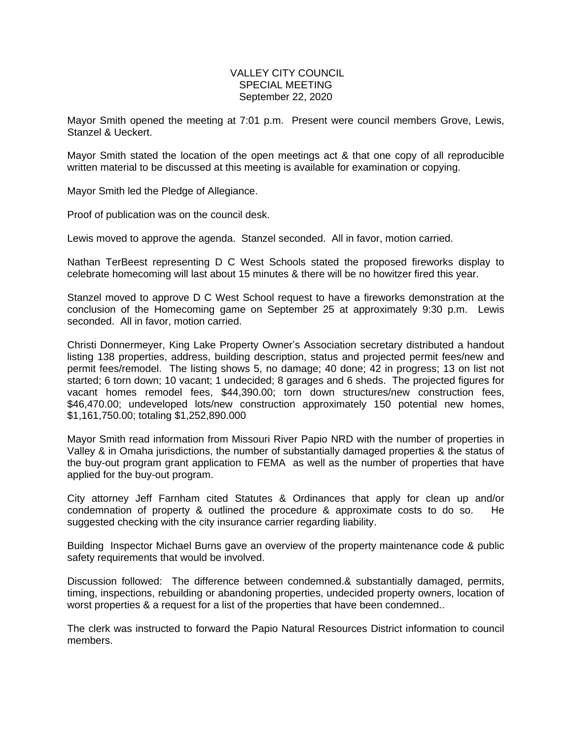## VALLEY CITY COUNCIL SPECIAL MEETING September 22, 2020

Mayor Smith opened the meeting at 7:01 p.m. Present were council members Grove, Lewis, Stanzel & Ueckert.

Mayor Smith stated the location of the open meetings act & that one copy of all reproducible written material to be discussed at this meeting is available for examination or copying.

Mayor Smith led the Pledge of Allegiance.

Proof of publication was on the council desk.

Lewis moved to approve the agenda. Stanzel seconded. All in favor, motion carried.

Nathan TerBeest representing D C West Schools stated the proposed fireworks display to celebrate homecoming will last about 15 minutes & there will be no howitzer fired this year.

Stanzel moved to approve D C West School request to have a fireworks demonstration at the conclusion of the Homecoming game on September 25 at approximately 9:30 p.m. Lewis seconded. All in favor, motion carried.

Christi Donnermeyer, King Lake Property Owner's Association secretary distributed a handout listing 138 properties, address, building description, status and projected permit fees/new and permit fees/remodel. The listing shows 5, no damage; 40 done; 42 in progress; 13 on list not started; 6 torn down; 10 vacant; 1 undecided; 8 garages and 6 sheds. The projected figures for vacant homes remodel fees, \$44,390.00; torn down structures/new construction fees, \$46,470.00; undeveloped lots/new construction approximately 150 potential new homes, \$1,161,750.00; totaling \$1,252,890.000

Mayor Smith read information from Missouri River Papio NRD with the number of properties in Valley & in Omaha jurisdictions, the number of substantially damaged properties & the status of the buy-out program grant application to FEMA as well as the number of properties that have applied for the buy-out program.

City attorney Jeff Farnham cited Statutes & Ordinances that apply for clean up and/or condemnation of property & outlined the procedure & approximate costs to do so. He suggested checking with the city insurance carrier regarding liability.

Building Inspector Michael Burns gave an overview of the property maintenance code & public safety requirements that would be involved.

Discussion followed: The difference between condemned.& substantially damaged, permits, timing, inspections, rebuilding or abandoning properties, undecided property owners, location of worst properties & a request for a list of the properties that have been condemned..

The clerk was instructed to forward the Papio Natural Resources District information to council members.